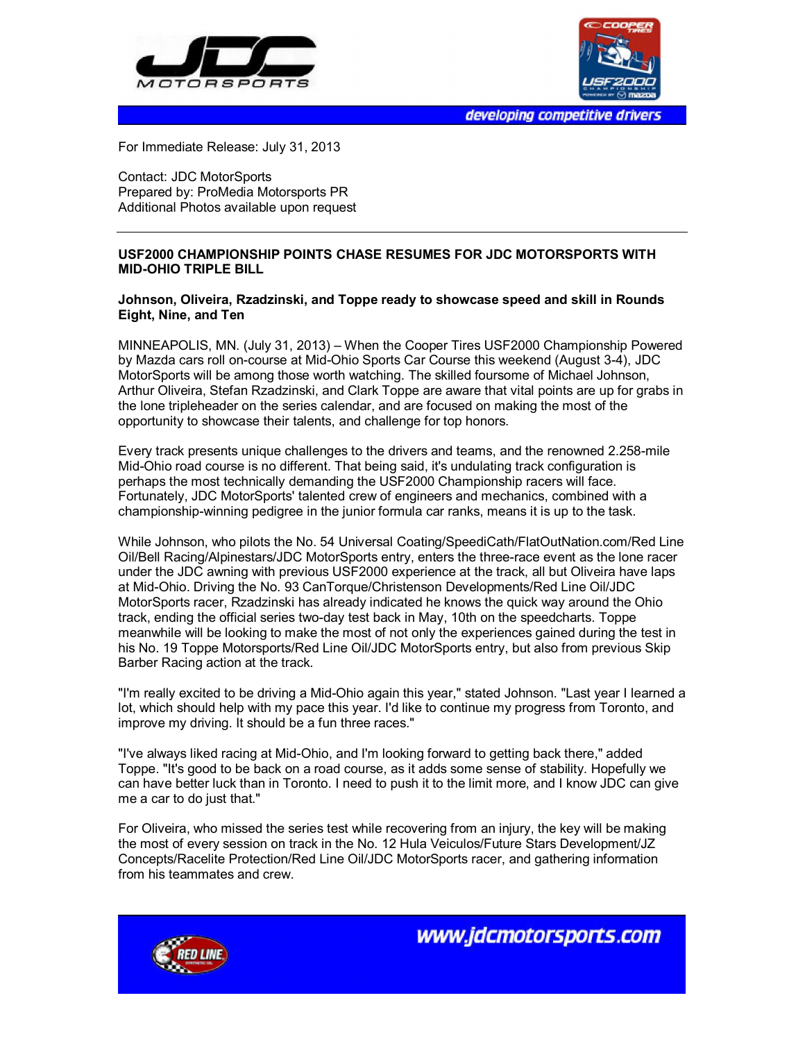



developing competitive drivers

For Immediate Release: July 31, 2013

Contact: JDC MotorSports Prepared by: ProMedia Motorsports PR Additional Photos available upon request

## **USF2000 CHAMPIONSHIP POINTS CHASE RESUMES FOR JDC MOTORSPORTS WITH MID-OHIO TRIPLE BILL**

## **Johnson, Oliveira, Rzadzinski, and Toppe ready to showcase speed and skill in Rounds Eight, Nine, and Ten**

MINNEAPOLIS, MN. (July 31, 2013) – When the Cooper Tires USF2000 Championship Powered by Mazda cars roll on-course at Mid-Ohio Sports Car Course this weekend (August 3-4), JDC MotorSports will be among those worth watching. The skilled foursome of Michael Johnson, Arthur Oliveira, Stefan Rzadzinski, and Clark Toppe are aware that vital points are up for grabs in the lone tripleheader on the series calendar, and are focused on making the most of the opportunity to showcase their talents, and challenge for top honors.

Every track presents unique challenges to the drivers and teams, and the renowned 2.258-mile Mid-Ohio road course is no different. That being said, it's undulating track configuration is perhaps the most technically demanding the USF2000 Championship racers will face. Fortunately, JDC MotorSports' talented crew of engineers and mechanics, combined with a championship-winning pedigree in the junior formula car ranks, means it is up to the task.

While Johnson, who pilots the No. 54 Universal Coating/SpeediCath/FlatOutNation.com/Red Line Oil/Bell Racing/Alpinestars/JDC MotorSports entry, enters the three-race event as the lone racer under the JDC awning with previous USF2000 experience at the track, all but Oliveira have laps at Mid-Ohio. Driving the No. 93 CanTorque/Christenson Developments/Red Line Oil/JDC MotorSports racer, Rzadzinski has already indicated he knows the quick way around the Ohio track, ending the official series two-day test back in May, 10th on the speedcharts. Toppe meanwhile will be looking to make the most of not only the experiences gained during the test in his No. 19 Toppe Motorsports/Red Line Oil/JDC MotorSports entry, but also from previous Skip Barber Racing action at the track.

"I'm really excited to be driving a Mid-Ohio again this year," stated Johnson. "Last year I learned a lot, which should help with my pace this year. I'd like to continue my progress from Toronto, and improve my driving. It should be a fun three races."

"I've always liked racing at Mid-Ohio, and I'm looking forward to getting back there," added Toppe. "It's good to be back on a road course, as it adds some sense of stability. Hopefully we can have better luck than in Toronto. I need to push it to the limit more, and I know JDC can give me a car to do just that."

For Oliveira, who missed the series test while recovering from an injury, the key will be making the most of every session on track in the No. 12 Hula Veiculos/Future Stars Development/JZ Concepts/Racelite Protection/Red Line Oil/JDC MotorSports racer, and gathering information from his teammates and crew.



www.jdcmotorsports.com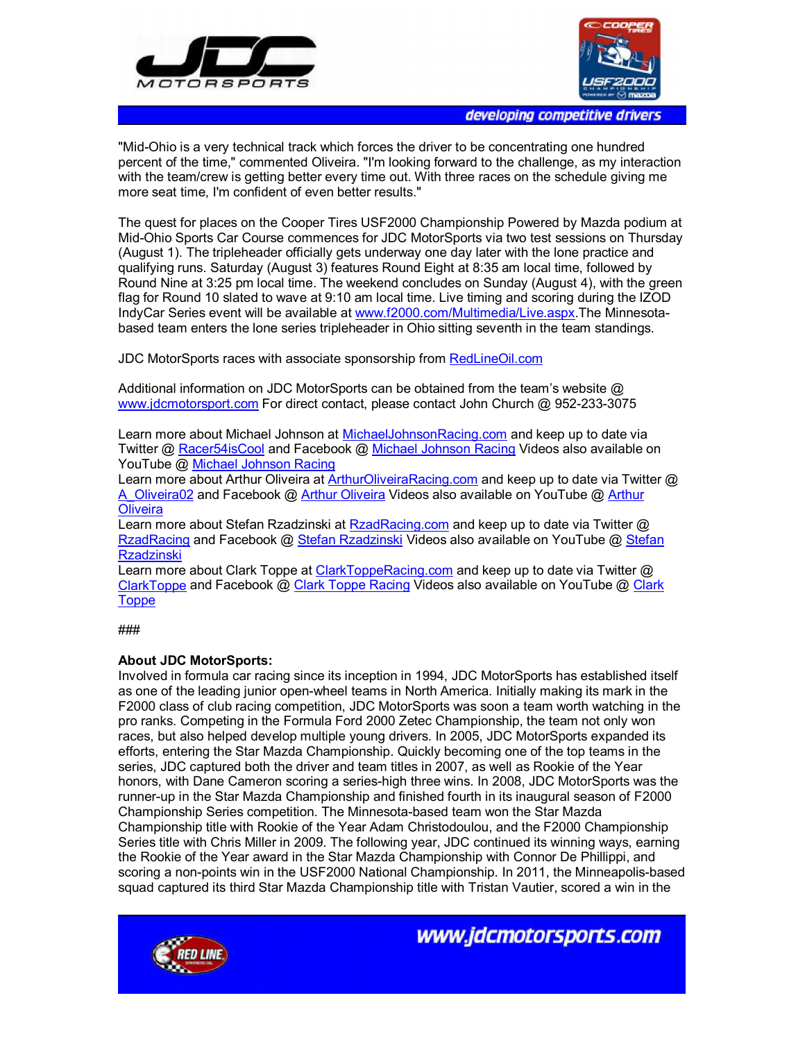



developing competitive drivers

"Mid-Ohio is a very technical track which forces the driver to be concentrating one hundred percent of the time," commented Oliveira. "I'm looking forward to the challenge, as my interaction with the team/crew is getting better every time out. With three races on the schedule giving me more seat time, I'm confident of even better results."

The quest for places on the Cooper Tires USF2000 Championship Powered by Mazda podium at Mid-Ohio Sports Car Course commences for JDC MotorSports via two test sessions on Thursday (August 1). The tripleheader officially gets underway one day later with the lone practice and qualifying runs. Saturday (August 3) features Round Eight at 8:35 am local time, followed by Round Nine at 3:25 pm local time. The weekend concludes on Sunday (August 4), with the green flag for Round 10 slated to wave at 9:10 am local time. Live timing and scoring during the IZOD IndyCar Series event will be available at www.f2000.com/Multimedia/Live.aspx.The Minnesotabased team enters the lone series tripleheader in Ohio sitting seventh in the team standings.

JDC MotorSports races with associate sponsorship from RedLineOil.com

Additional information on JDC MotorSports can be obtained from the team's website  $\varpi$ www.jdcmotorsport.com For direct contact, please contact John Church @ 952-233-3075

Learn more about Michael Johnson at MichaelJohnsonRacing.com and keep up to date via Twitter @ Racer54isCool and Facebook @ Michael Johnson Racing Videos also available on YouTube @ Michael Johnson Racing

Learn more about Arthur Oliveira at ArthurOliveiraRacing.com and keep up to date via Twitter @ A Oliveira02 and Facebook @ Arthur Oliveira Videos also available on YouTube @ Arthur **Oliveira** 

Learn more about Stefan Rzadzinski at RzadRacing.com and keep up to date via Twitter @ RzadRacing and Facebook @ Stefan Rzadzinski Videos also available on YouTube @ Stefan Rzadzinski

Learn more about Clark Toppe at ClarkToppeRacing.com and keep up to date via Twitter @ ClarkToppe and Facebook @ Clark Toppe Racing Videos also available on YouTube @ Clark **Toppe** 

###

## **About JDC MotorSports:**

Involved in formula car racing since its inception in 1994, JDC MotorSports has established itself as one of the leading junior open-wheel teams in North America. Initially making its mark in the F2000 class of club racing competition, JDC MotorSports was soon a team worth watching in the pro ranks. Competing in the Formula Ford 2000 Zetec Championship, the team not only won races, but also helped develop multiple young drivers. In 2005, JDC MotorSports expanded its efforts, entering the Star Mazda Championship. Quickly becoming one of the top teams in the series, JDC captured both the driver and team titles in 2007, as well as Rookie of the Year honors, with Dane Cameron scoring a series-high three wins. In 2008, JDC MotorSports was the runner-up in the Star Mazda Championship and finished fourth in its inaugural season of F2000 Championship Series competition. The Minnesota-based team won the Star Mazda Championship title with Rookie of the Year Adam Christodoulou, and the F2000 Championship Series title with Chris Miller in 2009. The following year, JDC continued its winning ways, earning the Rookie of the Year award in the Star Mazda Championship with Connor De Phillippi, and scoring a non-points win in the USF2000 National Championship. In 2011, the Minneapolis-based squad captured its third Star Mazda Championship title with Tristan Vautier, scored a win in the



www.jdcmotorsports.com